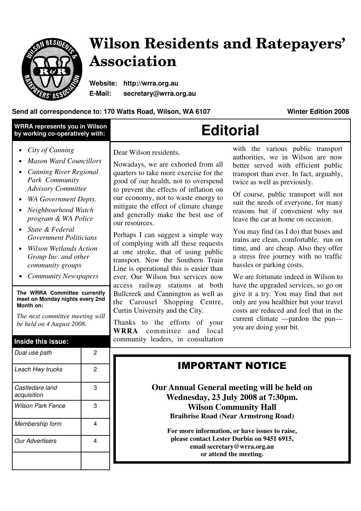

# **Wilson Residents and Ratepayers' Association**

**Website: http://wrra.org.au E-Mail: secretary@wrra.org.au** 

### **Send all correspondence to: 170 Watts Road, Wilson, WA 6107 Winter Edition 2008**

| <b>WRRA represents you in Wilson</b><br>by working co-operatively with:                                                                                                                                                                                                                                                                                                                                                                                                                                                                                          |                                    | <b>Editorial</b>                                                                                                                                                                                                                                                                                                                                                                                                                                                                                                                                                                                                                                                                                                                                                                                                                      |                                                                                                                                                                                                                                                                                                                                                                                                                                                                                                                                                                                                                                                                                                                                                                                                                                 |
|------------------------------------------------------------------------------------------------------------------------------------------------------------------------------------------------------------------------------------------------------------------------------------------------------------------------------------------------------------------------------------------------------------------------------------------------------------------------------------------------------------------------------------------------------------------|------------------------------------|---------------------------------------------------------------------------------------------------------------------------------------------------------------------------------------------------------------------------------------------------------------------------------------------------------------------------------------------------------------------------------------------------------------------------------------------------------------------------------------------------------------------------------------------------------------------------------------------------------------------------------------------------------------------------------------------------------------------------------------------------------------------------------------------------------------------------------------|---------------------------------------------------------------------------------------------------------------------------------------------------------------------------------------------------------------------------------------------------------------------------------------------------------------------------------------------------------------------------------------------------------------------------------------------------------------------------------------------------------------------------------------------------------------------------------------------------------------------------------------------------------------------------------------------------------------------------------------------------------------------------------------------------------------------------------|
| City of Canning<br>$\bullet$<br><b>Mason Ward Councillors</b><br><b>Canning River Regional</b><br>Park Community<br><b>Advisory Committee</b><br><b>WA Government Depts.</b><br>Neighbourhood Watch<br>program & WA Police<br>State & Federal<br><b>Government Politicians</b><br><b>Wilson Wetlands Action</b><br>Group Inc. and other<br>community groups<br><b>Community Newspapers</b><br>The WRRA Committee currently<br>meet on Monday nights every 2nd<br>Month on:<br>The next committee meeting will<br>be held on 4 August 2008.<br>Inside this issue: |                                    | Dear Wilson residents,<br>Nowadays, we are exhorted from all<br>quarters to take more exercise for the<br>good of our health, not to overspend<br>to prevent the effects of inflation on<br>our economy, not to waste energy to<br>mitigate the effect of climate change<br>and generally make the best use of<br>our resources.<br>Perhaps I can suggest a simple way<br>of complying with all these requests<br>at one stroke, that of using public<br>transport. Now the Southern Train<br>Line is operational this is easier than<br>ever. Our Wilson bus services now<br>access railway stations at both<br>Bullcreek and Cannington as well as<br>the Carousel Shopping Centre,<br>Curtin University and the City.<br>Thanks to the efforts of your<br><b>WRRA</b><br>committee and local<br>community leaders, in consultation | with the various public transport<br>authorities, we in Wilson are now<br>better served with efficient public<br>transport than ever. In fact, arguably,<br>twice as well as previously.<br>Of course, public transport will not<br>suit the needs of everyone, for many<br>reasons but if convenient why not<br>leave the car at home on occasion.<br>You may find (as I do) that buses and<br>trains are clean, comfortable, run on<br>time, and are cheap. Also they offer<br>a stress free journey with no traffic<br>has sles or parking costs.<br>We are fortunate indeed in Wilson to<br>have the upgraded services, so go on<br>give it a try. You may find that not<br>only are you healthier but your travel<br>costs are reduced and feel that in the<br>current climate —pardon the pun—<br>you are doing your bit. |
| Dual use path                                                                                                                                                                                                                                                                                                                                                                                                                                                                                                                                                    | 2                                  |                                                                                                                                                                                                                                                                                                                                                                                                                                                                                                                                                                                                                                                                                                                                                                                                                                       | <b>IMPORTANT NOTICE</b>                                                                                                                                                                                                                                                                                                                                                                                                                                                                                                                                                                                                                                                                                                                                                                                                         |
| Leach Hwy trucks<br>Castledare land<br>acquisition<br><b>Wilson Park Fence</b><br>Membership form<br><b>Our Advertisers</b>                                                                                                                                                                                                                                                                                                                                                                                                                                      | $\overline{2}$<br>3<br>3<br>4<br>4 | Our Annual General meeting will be held on<br>Wednesday, 23 July 2008 at 7:30pm.<br><b>Wilson Community Hall</b><br><b>Braibrise Road (Near Armstrong Road)</b><br>For more information, or have issues to raise,<br>please contact Lester Durbin on 9451 6915,<br>email secretary@wrra.org.au<br>or attend the meeting.                                                                                                                                                                                                                                                                                                                                                                                                                                                                                                              |                                                                                                                                                                                                                                                                                                                                                                                                                                                                                                                                                                                                                                                                                                                                                                                                                                 |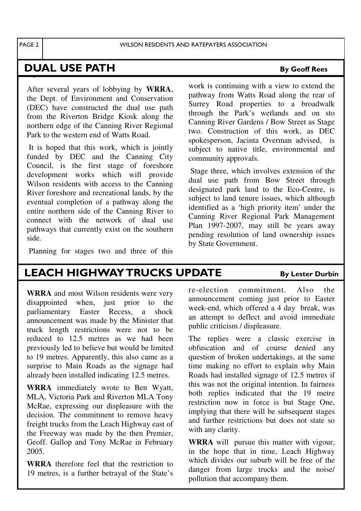PAGE 2 WILSON RESIDENTS AND RATEPAYERS ASSOCIATION

## **DUAL USE PATH** By Geoff Rees

After several years of lobbying by **WRRA**, the Dept. of Environment and Conservation (DEC) have constructed the dual use path from the Riverton Bridge Kiosk along the northern edge of the Canning River Regional Park to the western end of Watts Road.

 It is hoped that this work, which is jointly funded by DEC and the Canning City Council, is the first stage of foreshore development works which will provide Wilson residents with access to the Canning River foreshore and recreational lands, by the eventual completion of a pathway along the entire northern side of the Canning River to connect with the network of dual use pathways that currently exist on the southern side.

Planning for stages two and three of this

work is continuing with a view to extend the pathway from Watts Road along the rear of Surrey Road properties to a broadwalk through the Park's wetlands and on sto Canning River Gardens / Bow Street as Stage two. Construction of this work, as DEC spokesperson, Jacinta Overman advised, is subject to native title, environmental and community approvals.

 Stage three, which involves extension of the dual use path from Bow Street through designated park land to the Eco-Centre, is subject to land tenure issues, which although identified as a 'high priority item' under the Canning River Regional Park Management Plan 1997-2007, may still be years away pending resolution of land ownership issues by State Government.

### LEACH HIGHWAY TRUCKS UPDATE By Lester Durbin

**WRRA** and most Wilson residents were very disappointed when, just prior to the parliamentary Easter Recess, a shock announcement was made by the Minister that truck length restrictions were not to be reduced to 12.5 metres as we had been previously led to believe but would be limited to 19 metres. Apparently, this also came as a surprise to Main Roads as the signage had already been installed indicating 12.5 metres.

**WRRA** immediately wrote to Ben Wyatt, MLA, Victoria Park and Riverton MLA Tony McRae, expressing our displeasure with the decision. The commitment to remove heavy freight trucks from the Leach Highway east of the Freeway was made by the then Premier, Geoff. Gallop and Tony McRae in February 2005.

**WRRA** therefore feel that the restriction to 19 metres, is a further betrayal of the State's re-election commitment. Also the announcement coming just prior to Easter week-end, which offered a 4 day break, was an attempt to deflect and avoid immediate public criticism / displeasure.

The replies were a classic exercise in obfuscation and of course denied any question of broken undertakings, at the same time making no effort to explain why Main Roads had installed signage of 12.5 metres if this was not the original intention. In fairness both replies indicated that the 19 metre restriction now in force is but Stage One, implying that there will be subsequent stages and further restrictions but does not state so with any clarity.

**WRRA** will pursue this matter with vigour, in the hope that in time, Leach Highway which divides our suburb will be free of the danger from large trucks and the noise/ pollution that accompany them.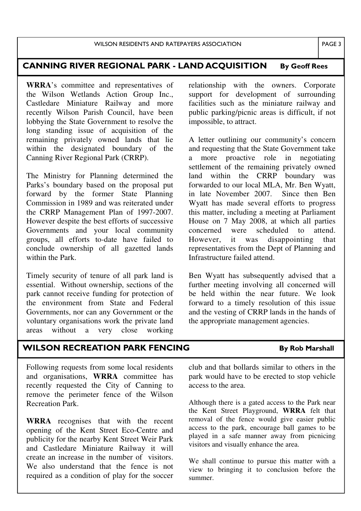### CANNING RIVER REGIONAL PARK - LAND ACQUISITION By Geoff Rees

**WRRA**'s committee and representatives of the Wilson Wetlands Action Group Inc., Castledare Miniature Railway and more recently Wilson Parish Council, have been lobbying the State Government to resolve the long standing issue of acquisition of the remaining privately owned lands that lie within the designated boundary of the Canning River Regional Park (CRRP).

The Ministry for Planning determined the Parks's boundary based on the proposal put forward by the former State Planning Commission in 1989 and was reiterated under the CRRP Management Plan of 1997-2007. However despite the best efforts of successive Governments and your local community groups, all efforts to-date have failed to conclude ownership of all gazetted lands within the Park.

Timely security of tenure of all park land is essential. Without ownership, sections of the park cannot receive funding for protection of the environment from State and Federal Governments, nor can any Government or the voluntary organisations work the private land<br>areas without a very close working areas without a very close working relationship with the owners. Corporate support for development of surrounding facilities such as the miniature railway and public parking/picnic areas is difficult, if not impossible, to attract.

A letter outlining our community's concern and requesting that the State Government take a more proactive role in negotiating settlement of the remaining privately owned land within the CRRP boundary was forwarded to our local MLA, Mr. Ben Wyatt, in late November 2007. Since then Ben Wyatt has made several efforts to progress this matter, including a meeting at Parliament House on 7 May 2008, at which all parties concerned were scheduled to attend. However, it was disappointing that representatives from the Dept of Planning and Infrastructure failed attend.

Ben Wyatt has subsequently advised that a further meeting involving all concerned will be held within the near future. We look forward to a timely resolution of this issue and the vesting of CRRP lands in the hands of the appropriate management agencies.

### WILSON RECREATION PARK FENCING By Rob Marshall

Following requests from some local residents and organisations, **WRRA** committee has recently requested the City of Canning to remove the perimeter fence of the Wilson Recreation Park.

**WRRA** recognises that with the recent opening of the Kent Street Eco-Centre and publicity for the nearby Kent Street Weir Park and Castledare Miniature Railway it will create an increase in the number of visitors. We also understand that the fence is not required as a condition of play for the soccer club and that bollards similar to others in the park would have to be erected to stop vehicle access to the area.

Although there is a gated access to the Park near the Kent Street Playground, **WRRA** felt that removal of the fence would give easier public access to the park, encourage ball games to be played in a safe manner away from picnicing visitors and visually enhance the area.

We shall continue to pursue this matter with a view to bringing it to conclusion before the summer.

PAGE 3